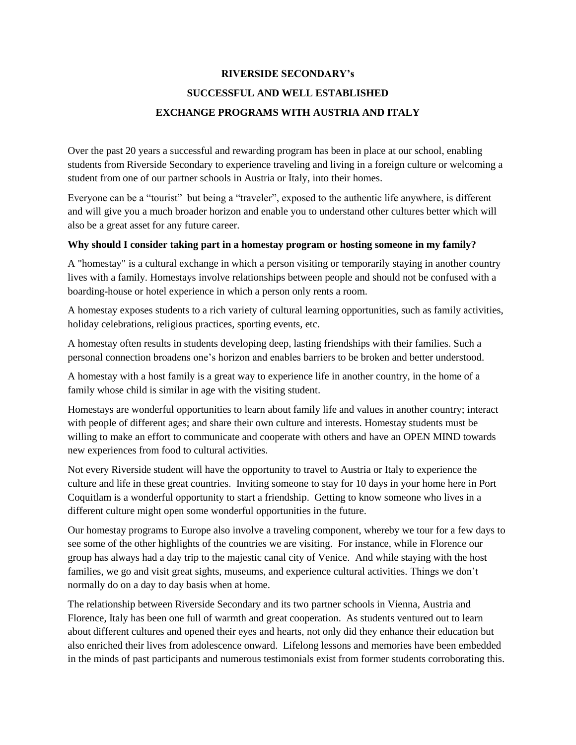## **RIVERSIDE SECONDARY's SUCCESSFUL AND WELL ESTABLISHED EXCHANGE PROGRAMS WITH AUSTRIA AND ITALY**

Over the past 20 years a successful and rewarding program has been in place at our school, enabling students from Riverside Secondary to experience traveling and living in a foreign culture or welcoming a student from one of our partner schools in Austria or Italy, into their homes.

Everyone can be a "tourist" but being a "traveler", exposed to the authentic life anywhere, is different and will give you a much broader horizon and enable you to understand other cultures better which will also be a great asset for any future career.

## **Why should I consider taking part in a homestay program or hosting someone in my family?**

A "homestay" is a cultural exchange in which a person visiting or temporarily staying in another country lives with a family. Homestays involve relationships between people and should not be confused with a boarding-house or hotel experience in which a person only rents a room.

A homestay exposes students to a rich variety of cultural learning opportunities, such as family activities, holiday celebrations, religious practices, sporting events, etc.

A homestay often results in students developing deep, lasting friendships with their families. Such a personal connection broadens one's horizon and enables barriers to be broken and better understood.

A homestay with a host family is a great way to experience life in another country, in the home of a family whose child is similar in age with the visiting student.

Homestays are wonderful opportunities to learn about family life and values in another country; interact with people of different ages; and share their own culture and interests. Homestay students must be willing to make an effort to communicate and cooperate with others and have an OPEN MIND towards new experiences from food to cultural activities.

Not every Riverside student will have the opportunity to travel to Austria or Italy to experience the culture and life in these great countries. Inviting someone to stay for 10 days in your home here in Port Coquitlam is a wonderful opportunity to start a friendship. Getting to know someone who lives in a different culture might open some wonderful opportunities in the future.

Our homestay programs to Europe also involve a traveling component, whereby we tour for a few days to see some of the other highlights of the countries we are visiting. For instance, while in Florence our group has always had a day trip to the majestic canal city of Venice. And while staying with the host families, we go and visit great sights, museums, and experience cultural activities. Things we don't normally do on a day to day basis when at home.

The relationship between Riverside Secondary and its two partner schools in Vienna, Austria and Florence, Italy has been one full of warmth and great cooperation. As students ventured out to learn about different cultures and opened their eyes and hearts, not only did they enhance their education but also enriched their lives from adolescence onward. Lifelong lessons and memories have been embedded in the minds of past participants and numerous testimonials exist from former students corroborating this.